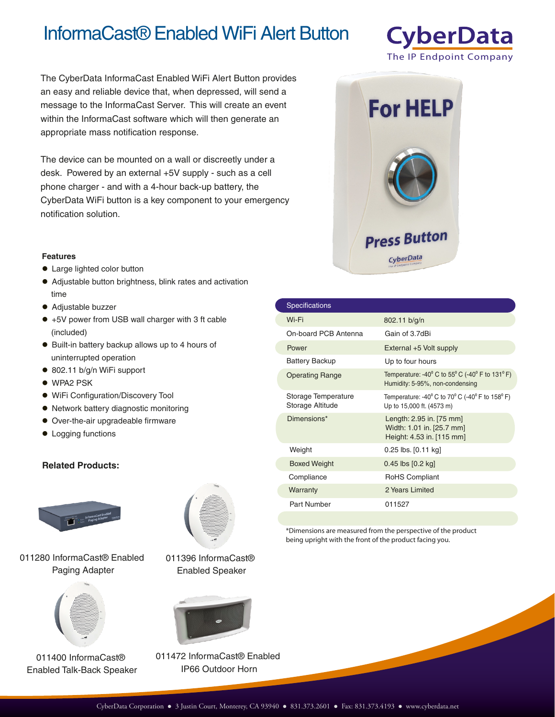# InformaCast® Enabled WiFi Alert Button

The CyberData InformaCast Enabled WiFi Alert Button provides an easy and reliable device that, when depressed, will send a message to the InformaCast Server. This will create an event within the InformaCast software which will then generate an appropriate mass notification response.

The device can be mounted on a wall or discreetly under a desk. Powered by an external +5V supply - such as a cell phone charger - and with a 4-hour back-up battery, the CyberData WiFi button is a key component to your emergency notification solution.

## **CyberData** The IP Endpoint Company



#### **Features**

- Large lighted color button
- Adjustable button brightness, blink rates and activation time
- Adjustable buzzer
- +5V power from USB wall charger with 3 ft cable (included)
- Built-in battery backup allows up to 4 hours of uninterrupted operation
- 802.11 b/g/n WiFi support
- WPA2 PSK
- WiFi Configuration/Discovery Tool
- Network battery diagnostic monitoring
- Over-the-air upgradeable firmware
- $\bullet$  Logging functions

### **Related Products:**



011280 InformaCast® Enabled Paging Adapter



011400 InformaCast® Enabled Talk-Back Speaker



011396 InformaCast® Enabled Speaker



011472 InformaCast® Enabled IP66 Outdoor Horn

| <b>Specifications</b>                   |                                                                                                                            |
|-----------------------------------------|----------------------------------------------------------------------------------------------------------------------------|
| Wi-Fi                                   | 802.11 b/g/n                                                                                                               |
| On-board PCB Antenna                    | Gain of 3.7dBi                                                                                                             |
| Power                                   | External +5 Volt supply                                                                                                    |
| <b>Battery Backup</b>                   | Up to four hours                                                                                                           |
| <b>Operating Range</b>                  | Temperature: -40 $^{\circ}$ C to 55 $^{\circ}$ C (-40 $^{\circ}$ F to 131 $^{\circ}$ F)<br>Humidity: 5-95%, non-condensing |
| Storage Temperature<br>Storage Altitude | Temperature: -40 $^{\circ}$ C to 70 $^{\circ}$ C (-40 $^{\circ}$ F to 158 $^{\circ}$ F)<br>Up to 15,000 ft. (4573 m)       |
| Dimensions*                             | Length: 2.95 in. [75 mm]<br>Width: 1.01 in. [25.7 mm]<br>Height: 4.53 in. [115 mm]                                         |
| Weight                                  | $0.25$ lbs. $[0.11$ kg                                                                                                     |
| <b>Boxed Weight</b>                     | $0.45$ lbs $[0.2$ kg                                                                                                       |
| Compliance                              | <b>RoHS Compliant</b>                                                                                                      |
| Warranty                                | 2 Years Limited                                                                                                            |
| Part Number                             | 011527                                                                                                                     |

\*Dimensions are measured from the perspective of the product being upright with the front of the product facing you.